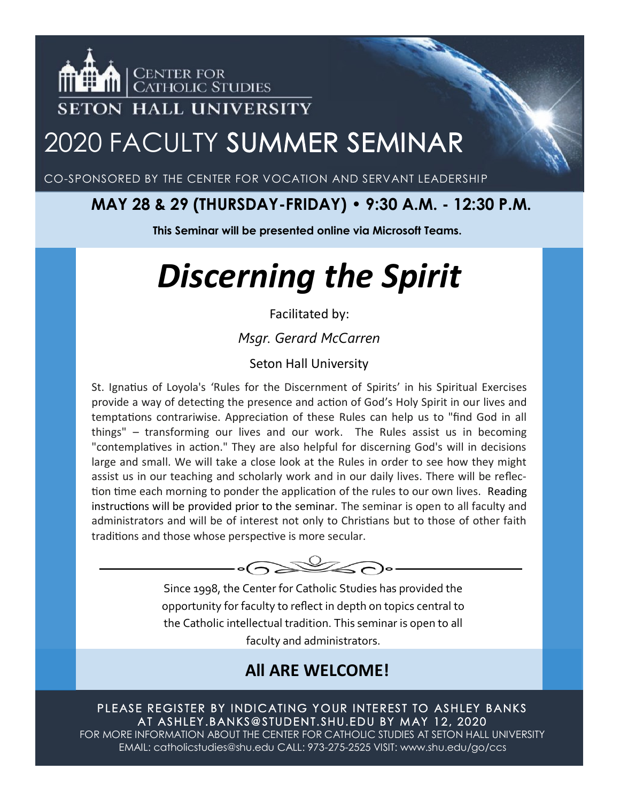

## 2020 FACULTY SUMMER SEMINAR

CO-SPONSORED BY THE CENTER FOR VOCATION AND SERVANT LEADERSHIP

### **MAY 28 & 29 (THURSDAY-FRIDAY) • 9:30 A.M. - 12:30 P.M.**

**This Seminar will be presented online via Microsoft Teams.**

# *Discerning the Spirit*

#### Facilitated by:

*Msgr. Gerard McCarren*

#### Seton Hall University

St. Ignatius of Loyola's 'Rules for the Discernment of Spirits' in his Spiritual Exercises provide a way of detecting the presence and action of God's Holy Spirit in our lives and temptations contrariwise. Appreciation of these Rules can help us to "find God in all things" – transforming our lives and our work. The Rules assist us in becoming "contemplatives in action." They are also helpful for discerning God's will in decisions large and small. We will take a close look at the Rules in order to see how they might assist us in our teaching and scholarly work and in our daily lives. There will be reflection time each morning to ponder the application of the rules to our own lives. Reading instructions will be provided prior to the seminar. The seminar is open to all faculty and administrators and will be of interest not only to Christians but to those of other faith traditions and those whose perspective is more secular.



Since 1998, the Center for Catholic Studies has provided the opportunity for faculty to reflect in depth on topics central to the Catholic intellectual tradition. This seminar is open to all faculty and administrators.

### **All ARE WELCOME!**

PLEASE REGISTER BY INDICATING YOUR INTEREST TO ASHLEY BANKS AT ASHLEY.BANKS@STUDENT.SHU.EDU BY MAY 12, 2020

FOR MORE INFORMATION ABOUT THE CENTER FOR CATHOLIC STUDIES AT SETON HALL UNIVERSITY EMAIL: catholicstudies@shu.edu CALL: 973-275-2525 VISIT: www.shu.edu/go/ccs